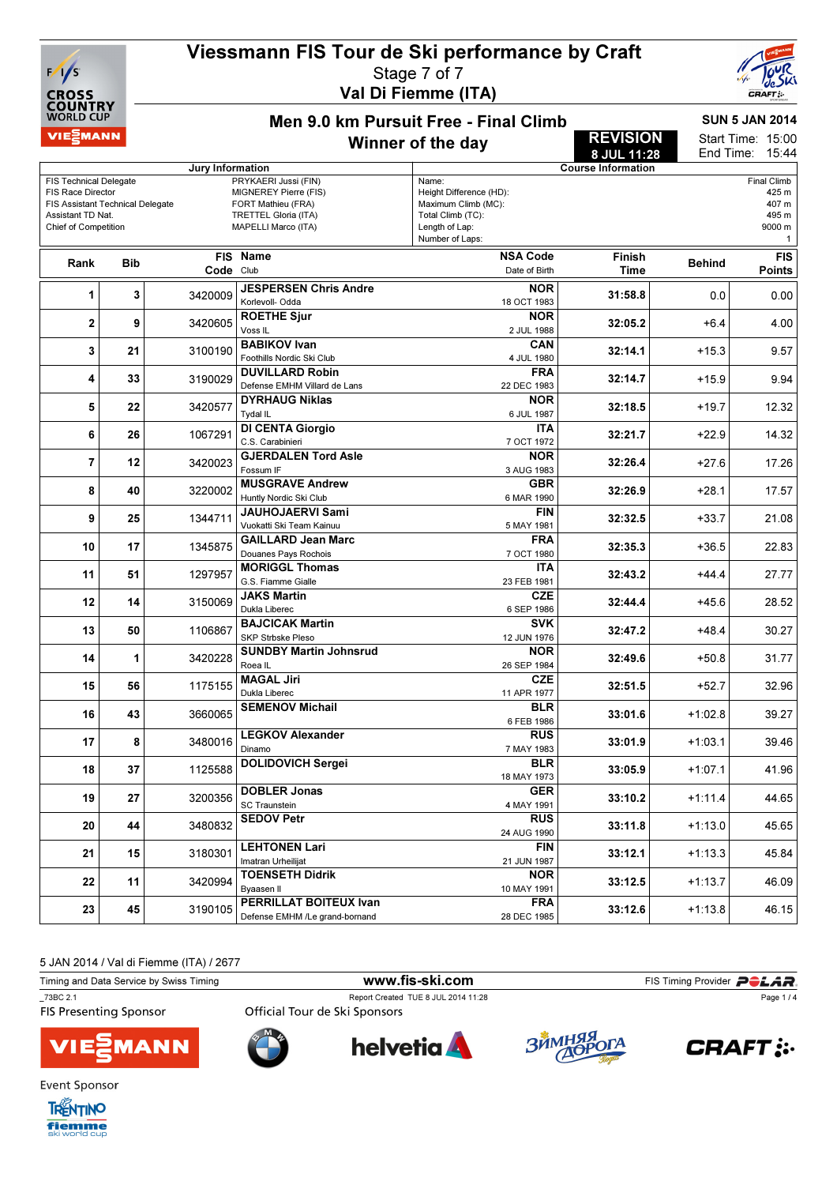# Viessmann FIS Tour de Ski performance by Craft



#### Stage 7 of 7 Val Di Fiemme (ITA)



Men 9.0 km Pursuit Free - Final Climb Winner of the day

SUN 5 JAN 2014

#### 15:00 15:44 Start Time: End Time:

REVISION

|                                                  |                                  |                         |                                                           |                                     | 8 JUL 11:28               | End Time:     | 15:44              |
|--------------------------------------------------|----------------------------------|-------------------------|-----------------------------------------------------------|-------------------------------------|---------------------------|---------------|--------------------|
|                                                  |                                  | <b>Jury Information</b> |                                                           |                                     | <b>Course Information</b> |               |                    |
| <b>FIS Technical Delegate</b>                    |                                  |                         | PRYKAERI Jussi (FIN)                                      | Name:                               |                           |               | <b>Final Climb</b> |
| FIS Race Director                                |                                  |                         | MIGNEREY Pierre (FIS)                                     | Height Difference (HD):             |                           |               | 425 m              |
|                                                  | FIS Assistant Technical Delegate |                         | FORT Mathieu (FRA)                                        | Maximum Climb (MC):                 |                           |               | 407 m              |
| Assistant TD Nat.<br><b>Chief of Competition</b> |                                  |                         | <b>TRETTEL Gloria (ITA)</b><br><b>MAPELLI Marco (ITA)</b> | Total Climb (TC):<br>Length of Lap: |                           |               | 495 m<br>9000 m    |
|                                                  |                                  |                         |                                                           | Number of Laps:                     |                           |               | 1                  |
|                                                  |                                  | <b>FIS</b>              | <b>Name</b>                                               | <b>NSA Code</b>                     | Finish                    |               | <b>FIS</b>         |
| Rank                                             | <b>Bib</b>                       | Code Club               |                                                           | Date of Birth                       | <b>Time</b>               | <b>Behind</b> | <b>Points</b>      |
|                                                  |                                  |                         |                                                           |                                     |                           |               |                    |
| 1                                                | 3                                | 3420009                 | <b>JESPERSEN Chris Andre</b>                              | <b>NOR</b>                          | 31:58.8                   | 0.0           | 0.00               |
|                                                  |                                  |                         | Korlevoll- Odda                                           | 18 OCT 1983                         |                           |               |                    |
| $\mathbf 2$                                      | 9                                | 3420605                 | <b>ROETHE Sjur</b>                                        | <b>NOR</b>                          | 32:05.2                   | $+6.4$        | 4.00               |
|                                                  |                                  |                         | Voss <sub>IL</sub>                                        | 2 JUL 1988                          |                           |               |                    |
| 3                                                | 21                               | 3100190                 | <b>BABIKOV Ivan</b>                                       | CAN                                 | 32:14.1                   | $+15.3$       | 9.57               |
|                                                  |                                  |                         | Foothills Nordic Ski Club                                 | 4 JUL 1980<br><b>FRA</b>            |                           |               |                    |
| 4                                                | 33                               | 3190029                 | <b>DUVILLARD Robin</b><br>Defense EMHM Villard de Lans    |                                     | 32:14.7                   | $+15.9$       | 9.94               |
|                                                  |                                  |                         |                                                           | 22 DEC 1983<br><b>NOR</b>           |                           |               |                    |
| 5                                                | 22                               | 3420577                 | <b>DYRHAUG Niklas</b>                                     |                                     | 32:18.5                   | $+19.7$       | 12.32              |
|                                                  |                                  |                         | Tydal IL                                                  | 6 JUL 1987                          |                           |               |                    |
| 6                                                | 26                               | 1067291                 | <b>DI CENTA Giorgio</b><br>C.S. Carabinieri               | <b>ITA</b><br>7 OCT 1972            | 32:21.7                   | $+22.9$       | 14.32              |
|                                                  |                                  |                         | <b>GJERDALEN Tord Asle</b>                                | <b>NOR</b>                          |                           |               |                    |
| $\overline{7}$                                   | 12                               | 3420023                 | Fossum IF                                                 |                                     | 32:26.4                   | $+27.6$       | 17.26              |
|                                                  |                                  |                         | <b>MUSGRAVE Andrew</b>                                    | 3 AUG 1983<br><b>GBR</b>            |                           |               |                    |
| 8                                                | 40                               | 3220002                 | Huntly Nordic Ski Club                                    | 6 MAR 1990                          | 32:26.9                   | $+28.1$       | 17.57              |
|                                                  |                                  |                         | <b>JAUHOJAERVI Sami</b>                                   | <b>FIN</b>                          |                           |               |                    |
| 9                                                | 25                               | 1344711                 | Vuokatti Ski Team Kainuu                                  | 5 MAY 1981                          | 32:32.5                   | $+33.7$       | 21.08              |
|                                                  |                                  |                         | <b>GAILLARD Jean Marc</b>                                 | <b>FRA</b>                          |                           |               |                    |
| 10                                               | 17                               | 1345875                 | Douanes Pays Rochois                                      | 7 OCT 1980                          | 32:35.3                   | $+36.5$       | 22.83              |
|                                                  |                                  |                         | <b>MORIGGL Thomas</b>                                     | <b>ITA</b>                          |                           |               |                    |
| 11                                               | 51                               | 1297957                 | G.S. Fiamme Gialle                                        | 23 FEB 1981                         | 32:43.2                   | $+44.4$       | 27.77              |
|                                                  |                                  |                         | <b>JAKS Martin</b>                                        | <b>CZE</b>                          |                           |               |                    |
| 12                                               | 14                               | 3150069                 | Dukla Liberec                                             | 6 SEP 1986                          | 32:44.4                   | $+45.6$       | 28.52              |
|                                                  |                                  |                         | <b>BAJCICAK Martin</b>                                    | <b>SVK</b>                          |                           |               |                    |
| 13                                               | 50                               | 1106867                 | SKP Strbske Pleso                                         | 12 JUN 1976                         | 32:47.2                   | $+48.4$       | 30.27              |
|                                                  |                                  |                         | <b>SUNDBY Martin Johnsrud</b>                             | <b>NOR</b>                          |                           |               |                    |
| 14                                               | 1                                | 3420228                 | Roea IL                                                   | 26 SEP 1984                         | 32:49.6                   | $+50.8$       | 31.77              |
| 15                                               |                                  |                         | <b>MAGAL Jiri</b>                                         | <b>CZE</b>                          | 32:51.5                   |               |                    |
|                                                  | 56                               | 1175155                 | Dukla Liberec                                             | 11 APR 1977                         |                           | $+52.7$       | 32.96              |
| 16                                               | 43                               | 3660065                 | <b>SEMENOV Michail</b>                                    | <b>BLR</b>                          | 33:01.6                   | $+1:02.8$     | 39.27              |
|                                                  |                                  |                         |                                                           | 6 FEB 1986                          |                           |               |                    |
| 17                                               | 8                                | 3480016                 | <b>LEGKOV Alexander</b>                                   | <b>RUS</b>                          | 33:01.9                   | $+1:03.1$     | 39.46              |
|                                                  |                                  |                         | Dinamo                                                    | 7 MAY 1983                          |                           |               |                    |
| 18                                               | 37                               | 1125588                 | <b>DOLIDOVICH Sergei</b>                                  | <b>BLR</b>                          | 33:05.9                   | $+1:07.1$     | 41.96              |
|                                                  |                                  |                         |                                                           | 18 MAY 1973                         |                           |               |                    |
| 19                                               | 27                               | 3200356                 | <b>DOBLER Jonas</b>                                       | <b>GER</b>                          | 33:10.2                   | $+1:11.4$     | 44.65              |
|                                                  |                                  |                         | <b>SC Traunstein</b>                                      | 4 MAY 1991                          |                           |               |                    |
| 20                                               | 44                               | 3480832                 | <b>SEDOV Petr</b>                                         | <b>RUS</b>                          | 33:11.8                   | $+1:13.0$     | 45.65              |
|                                                  |                                  |                         |                                                           | 24 AUG 1990                         |                           |               |                    |
| 21                                               | 15                               | 3180301                 | <b>LEHTONEN Lari</b>                                      | FIN                                 | 33:12.1                   | $+1:13.3$     | 45.84              |
|                                                  |                                  |                         | Imatran Urheilijat                                        | 21 JUN 1987                         |                           |               |                    |
| 22                                               | 11                               | 3420994                 | <b>TOENSETH Didrik</b>                                    | <b>NOR</b>                          | 33:12.5                   | $+1:13.7$     | 46.09              |
|                                                  |                                  |                         | Byaasen II                                                | 10 MAY 1991                         |                           |               |                    |
| 23                                               | 45                               | 3190105                 | PERRILLAT BOITEUX Ivan                                    | <b>FRA</b>                          | 33:12.6                   | $+1:13.8$     | 46.15              |
|                                                  |                                  |                         | Defense EMHM /Le grand-bornand                            | 28 DEC 1985                         |                           |               |                    |

5 JAN 2014 / Val di Fiemme (ITA) / 2677

| Timing and Data Service by Swiss Timing   | www.fis-ski.com                                                      |            | FIS Timing Provider <b>POLAR</b> |
|-------------------------------------------|----------------------------------------------------------------------|------------|----------------------------------|
| 73BC 2.1<br><b>FIS Presenting Sponsor</b> | Report Created TUE 8 JUL 2014 11:28<br>Official Tour de Ski Sponsors | Page 1/4   |                                  |
| <b>VIE EMANN</b>                          | <b>helvetia</b>                                                      | ЗЙМНЯЯ ОГА | <b>CRAFT</b> :                   |



TRENTINO fiemme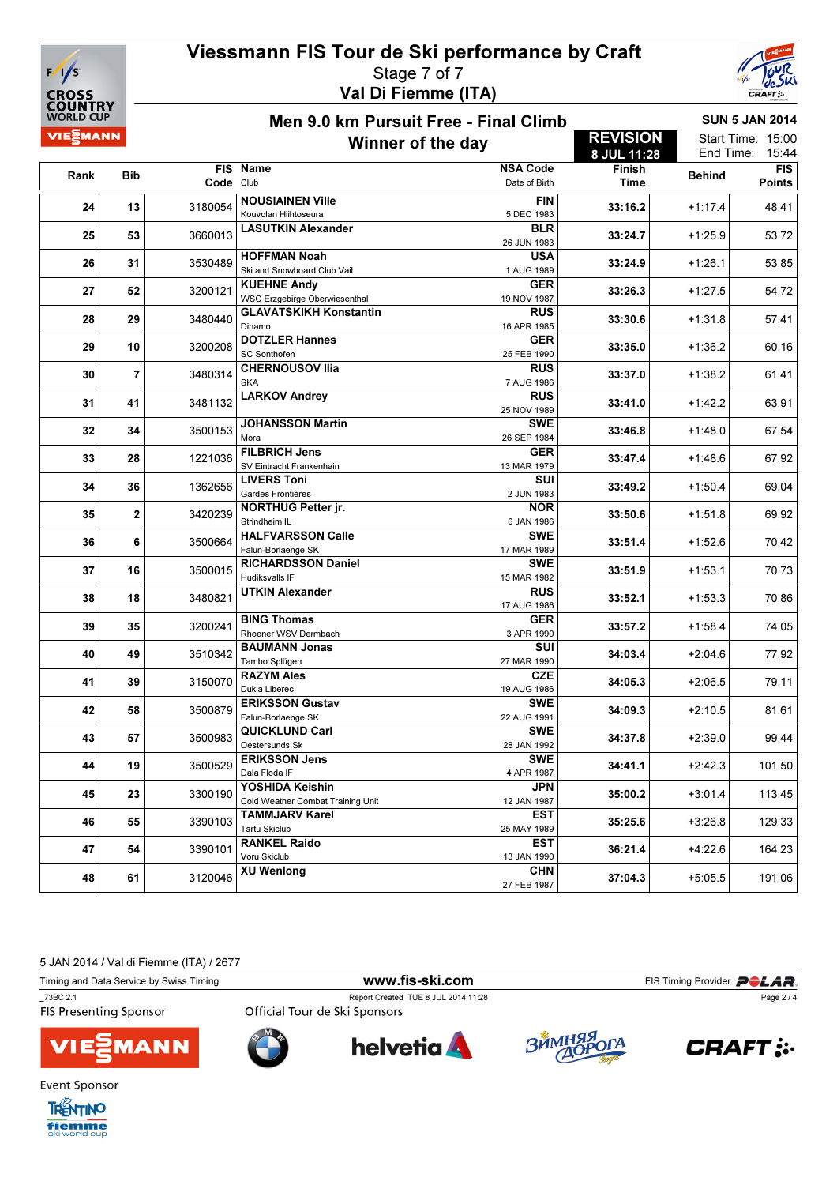

### Viessmann FIS Tour de Ski performance by Craft Stage 7 of 7 Val Di Fiemme (ITA)



15:44

Points

Men 9.0 km Pursuit Free - Final Climb

### SUN 5 JAN 2014

#### VIE EMANN REVISION Start Time: 15:00 Winner of the day End Time: 8 JUL 11:28 FIS Name NSA Code Finish Finish FIS<br>Time Behind Points Rank Bib FIS Date of Birth Code Club **24** 13 3180054 NOUSIAINEN Ville FIN  $3180054 \left| \frac{1}{2} \right| \left| \frac{1}{2} \right| \left| \frac{1}{2} \right|$   $33:16.2 \left| \frac{1}{2} \right|$   $48.41$ Kouvolan Hiihtoseura 5 DEC 1983 25 53 3660013 LASUTKIN Alexander BLR  $3660013$   $+1:25.9$   $+1:25.9$   $+1:25.9$  53.72 26 JUN 1983 26 31 3530489 HOFFMAN Noah USA Ski and Snowboard Club Vail 1 AUG 1989 <sup>3530489</sup> 33:24.9 +1:26.1 53.85 27 52 3200121 KUEHNE Andy GER WSC Erzgebirge Oberwiesenthal 3200121 33:26.3 +1:27.5 54.72 19 NOV 1987 28 29 3480440 GLAVATSKIKH Konstantin RUS  $3480440 \Big| \text{S/N} \Big|$  57.41 Dinamo 16 APR 1985 29 10 3200208 DOTZLER Hannes **GER**  $\frac{3200208}{\text{S}} \begin{bmatrix} 1.36.2 \\ \text{S} \end{bmatrix}$  60.16 SC Sonthofen 30 7 3480314 CHERNOUSOV Ilia RUS  $3480314$   $\sim$  61.41 SKA 7 AUG 1986 31 41 3481132 LARKOV Andrey RUS RUS  $\frac{3481132}{25}$   $\begin{array}{|c|c|c|c|c|c|}\n\hline\n & 33:41.0 & +1:42.2 & 63.91\n\end{array}$ 32 34 3500153 JOHANSSON Martin **SWE**<br>26 SEP 1984  $\frac{2600153}{\text{Mora}}$   $\begin{bmatrix} 2600153 & 41.48.0 \\ 33.46.8 & +1.48.0 \end{bmatrix}$  67.54 Mora 33 28 1221036 FILBRICH Jens GER  $1221036 \left| \frac{1}{2} \right| \left| \frac{1}{2} \right| \left| \frac{1}{2} \right| \left| \frac{1}{2} \right| \left| \frac{1}{2} \right| \left| \frac{1}{2} \right| \left| \frac{1}{2} \right| \left| \frac{1}{2} \right| \left| \frac{1}{2} \right| \left| \frac{1}{2} \right| \left| \frac{1}{2} \right| \left| \frac{1}{2} \right| \left| \frac{1}{2} \right| \left| \frac{1}{2} \right| \left| \frac{1}{2} \right| \left| \frac{1}{2} \right| \left| \frac$ SV Eintracht Frankenhain 13 MAR 1979 34 36 1362656 LIVERS Toni SUI  $2 \text{ JUN } 1362656$   $\text{Gardes Frontières}$   $2 \text{ JUN } 1983$   $33:49.2$   $+1:50.4$  69.04 Gardes Frontières 35 2 3420239 NORTHUG Petter jr. **NOR** 3420239 33:50.6 +1:51.8 69.92 Strindheim IL 6 JAN 1986 36 6 3500664 HALFVARSSON Calle SWE  $3500664 \mid \text{5} \text{ km} \text{ cm} \text{ cm}$ Falun-Borlaenge SK 17 MAR 1989  $\overline{37}$  16  $\overline{3500015}$  RICHARDSSON Daniel SWE 3500015  $\begin{vmatrix} 1 & 3 & 1 & 1 \\ 1 & 1 & 1 & 1 \end{vmatrix}$  +1:53.1  $\begin{vmatrix} 1 & 1 & 1 \\ 1 & 1 & 1 \end{vmatrix}$  +1:53.1  $\begin{vmatrix} 1 & 1 & 1 \\ 1 & 1 & 1 \end{vmatrix}$  +1:53.1  $\begin{vmatrix} 1 & 1 & 1 \\ 1 & 1 & 1 \end{vmatrix}$ Hudiksvalls IF 38 18 3480821 UTKIN Alexander RUS  $3480821$   $-11.53.3$   $-10.86$   $-12.1016$   $-10.006$   $-12.1016$   $-10.86$   $-10.006$   $-10.86$   $-10.006$   $-10.006$   $-10.006$   $-10.006$   $-10.006$   $-10.006$   $-10.006$   $-10.006$   $-10.006$   $-10.006$   $-10.006$   $-10.006$   $-10.006$  17 AUG 1986  $\overline{39}$   $\overline{3200241}$  BING Thomas GER  $3200241$   $\frac{1}{2}$   $\frac{1}{2}$   $\frac{1}{2}$   $\frac{1}{2}$   $\frac{1}{2}$   $\frac{1}{2}$   $\frac{1}{2}$   $\frac{1}{2}$   $\frac{1}{2}$   $\frac{1}{2}$   $\frac{1}{2}$   $\frac{1}{2}$   $\frac{1}{2}$   $\frac{1}{2}$   $\frac{1}{2}$   $\frac{1}{2}$   $\frac{1}{2}$   $\frac{1}{2}$   $\frac{1}{2}$   $\frac{1}{2}$   $\frac{1}{2}$  Rhoener WSV Dermbach 3 APR 1990 40 49 3510342 BAUMANN Jonas **SUI**  $\frac{3510342}{\text{Tambo Splügen}}$   $\frac{27 \text{ MAR } 1990}{27 \text{ MAR } 1990}$   $\frac{34:03.4}{\text{M}}$   $\frac{+2:04.6}{\text{m}}$  77.92 Tambo Splügen 41 39 3150070 RAZYM Ales **CZE**  $3150070 \left| \frac{34053}{24053} \right|$   $-12.06.5 \left| \frac{34053}{24053} \right|$   $-12.06.5 \left| \frac{34053}{2405} \right|$ Dukla Liberec 19 AUG 1986 42 58 3500879 ERIKSSON Gustav **SWE**  $3500879$   $\frac{1}{200}$   $\frac{1}{200}$   $\frac{34.09.3}{20.810 \times 10^{-10}}$   $\frac{34.09.3}{20.810 \times 10^{-10}}$   $\frac{34.09.3}{20.810 \times 10^{-10}}$   $\frac{34.09.3}{20.810 \times 10^{-10}}$   $\frac{34.09.3}{20.810 \times 10^{-10}}$

5 JAN 2014 / Val di Fiemme (ITA) / 2677

Timing and Data Service by Swiss Timing **WWW.fis-ski.com FIS Timing Provider** PCAR \_73BC 2.1 Report Created TUE 8 JUL 2014 11:28 Page 2 / 4**FIS Presenting Sponsor** Official Tour de Ski Sponsors





Falun-Borlaenge SK

Oestersunds Sk

Dala Floda IF

Tartu Skiclub

Voru Skiclub<br>XU Wenlong

48 61 61 3120046 XU Wenlong CHN

43 57 3500983 QUICKLUND Carl

44 19 3500529 ERIKSSON Jens

45 23 3300190 YOSHIDA Keishin

46 55 3390103 TAMMJARV Karel

47 54 3390101 RANKEL Raido





22 AUG 1991

28 JAN 1992 <sup>3500983</sup> 34:37.8 +2:39.0 99.44

3500529 | 21:42.3 | 21:50 | 21:42.3 | 21:42.3 | 21:42.3 | 21:42.3 | 21:50 | 21:50 | 21:50 | 21:50 | 21:50 | 21:50 | 21:50 | 21:50 | 21:50 | 21:50 | 21:50 | 21:50 | 21:50 | 21:50 | 21:50 | 21:50 | 21:50 | 21:50 | 21:50 | 21

 $\frac{3300190}{\text{Cold Weather Combat Training Unit}}$   $\frac{12 \text{ JAN 1987}}{12 \text{ JAN 1987}}$   $\frac{35:00.2}{12 \text{ JAN 1987}}$   $\frac{13.01.4}{113.45}$ 

 $3390103 \left| \frac{1}{1500} \right| \left| \frac{1}{1500} \right|$   $35:25.6 \left| \frac{1}{1500} \right|$   $35:25.6 \left| \frac{1}{1500} \right|$   $35:25.6 \left| \frac{1}{1500} \right|$ 

 $3390101 \left| \frac{1}{2} \right| \left| \frac{1}{2} \right| \left| \frac{1}{2} \right| \left| \frac{1}{2} \right| \left| \frac{1}{2} \right| \left| \frac{1}{2} \right| \left| \frac{1}{2} \right| \left| \frac{1}{2} \right| \left| \frac{1}{2} \right| \left| \frac{1}{2} \right| \left| \frac{1}{2} \right| \left| \frac{1}{2} \right| \left| \frac{1}{2} \right| \left| \frac{1}{2} \right| \left| \frac{1}{2} \right| \left| \frac{1}{2} \right| \left| \frac$ 

 $\begin{array}{|c|c|c|c|c|}\n \hline\n 27 \, \text{FeB} \, 1987 & & & \text{37:04.3} & +5.05.5 & 191.06 \\
 \hline\n 27 \, \text{FeB} \, 1987 & & & \text{37:04.3} & +5.05.5 & 191.06 \\
\hline\n\end{array}$ 

SWE

**SWE** 4 APR 1987

JPN

**FST** 25 MAY 1989

**FST** 13 JAN 1990



**Event Sponsor** 

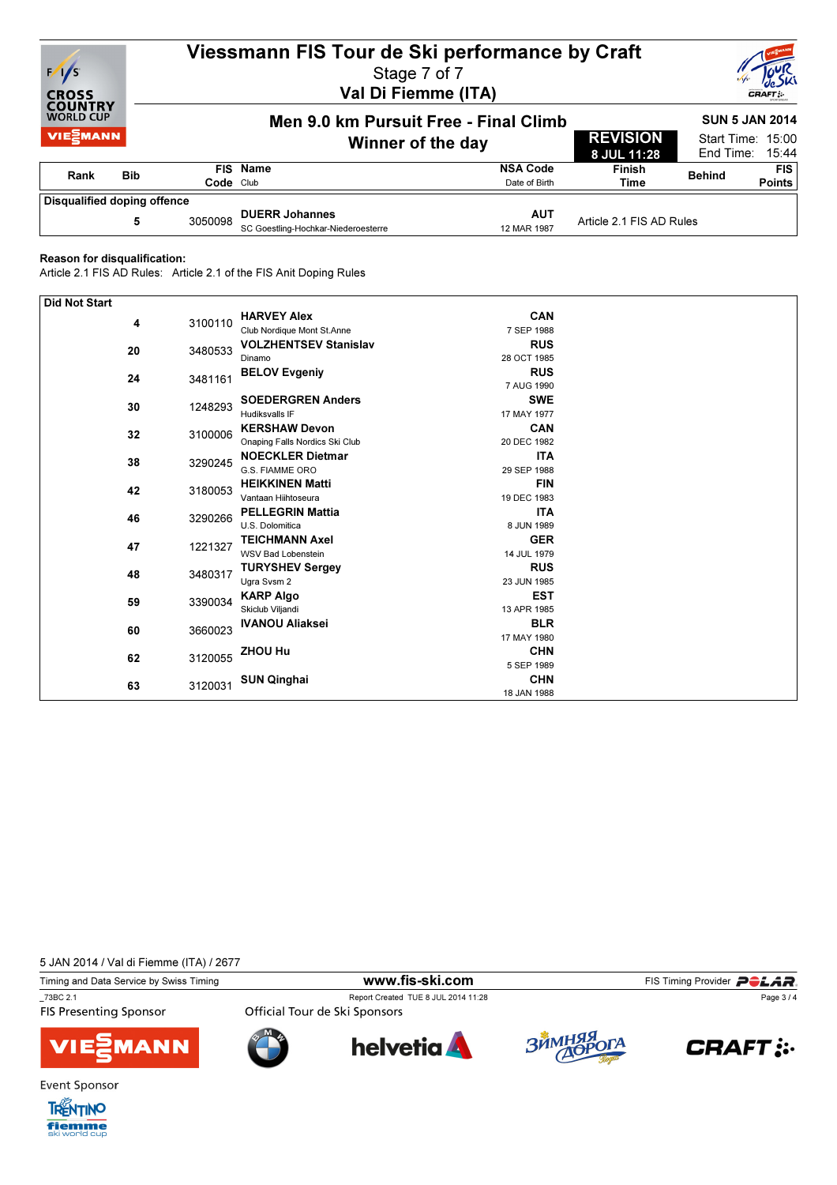

# Viessmann FIS Tour de Ski performance by Craft

Stage 7 of 7 Val Di Fiemme (ITA)



SUN 5 JAN 2014 Men 9.0 km Pursuit Free - Final Climb **/IE≦MANN** REVISION Start Time: 15:00 Winner of the day 8 JUL 11:28 End Time: 15:44 FIS Name NSA Code Finish EIS<br>Rehind FIS Rank Bib Date of Birth Points Code Club Disqualified doping offence DUERR Johannes AUT 5 SC Goestling-Hochkar-Niederoesterre 12 MAR 1987 <sup>3050098</sup> Article 2.1 FIS AD Rules

#### Reason for disqualification:

Article 2.1 FIS AD Rules: Article 2.1 of the FIS Anit Doping Rules

| <b>Did Not Start</b> |               |         |                                |             |  |
|----------------------|---------------|---------|--------------------------------|-------------|--|
| 4                    |               | 3100110 | <b>HARVEY Alex</b>             | <b>CAN</b>  |  |
|                      |               |         | Club Nordique Mont St.Anne     | 7 SEP 1988  |  |
| 20                   |               | 3480533 | <b>VOLZHENTSEV Stanislav</b>   | <b>RUS</b>  |  |
|                      |               |         | Dinamo                         | 28 OCT 1985 |  |
| 24                   |               | 3481161 | <b>BELOV Evgeniy</b>           | <b>RUS</b>  |  |
|                      |               |         |                                | 7 AUG 1990  |  |
|                      | 30            | 1248293 | <b>SOEDERGREN Anders</b>       | <b>SWE</b>  |  |
|                      |               |         | <b>Hudiksvalls IF</b>          | 17 MAY 1977 |  |
|                      | 32            | 3100006 | <b>KERSHAW Devon</b>           | <b>CAN</b>  |  |
|                      |               |         | Onaping Falls Nordics Ski Club | 20 DEC 1982 |  |
|                      |               |         | <b>NOECKLER Dietmar</b>        | <b>ITA</b>  |  |
|                      | 38            | 3290245 | G.S. FIAMME ORO                | 29 SEP 1988 |  |
|                      | 42<br>3180053 |         | <b>HEIKKINEN Matti</b>         | <b>FIN</b>  |  |
|                      |               |         | Vantaan Hiihtoseura            | 19 DEC 1983 |  |
| 46                   |               |         | <b>PELLEGRIN Mattia</b>        | <b>ITA</b>  |  |
|                      |               | 3290266 | U.S. Dolomitica                | 8 JUN 1989  |  |
| 47                   |               |         | <b>TEICHMANN Axel</b>          | <b>GER</b>  |  |
|                      | 1221327       |         | <b>WSV Bad Lobenstein</b>      | 14 JUL 1979 |  |
|                      | 48            | 3480317 | <b>TURYSHEV Sergey</b>         | <b>RUS</b>  |  |
|                      |               |         | Ugra Svsm 2                    | 23 JUN 1985 |  |
| 59                   |               | 3390034 | <b>KARP Algo</b>               | <b>EST</b>  |  |
|                      |               |         | Skiclub Viljandi               | 13 APR 1985 |  |
| 60                   |               | 3660023 | <b>IVANOU Aliaksei</b>         | <b>BLR</b>  |  |
|                      |               |         |                                | 17 MAY 1980 |  |
|                      | 62            | 3120055 | ZHOU Hu                        | <b>CHN</b>  |  |
|                      |               |         |                                | 5 SEP 1989  |  |
|                      |               | 3120031 | <b>SUN Qinghai</b>             | <b>CHN</b>  |  |
|                      | 63            |         |                                | 18 JAN 1988 |  |

5 JAN 2014 / Val di Fiemme (ITA) / 2677

Timing and Data Service by Swiss Timing **WWW.fis-Ski.com** FIS Timing Provider PCLAR. \_73BC 2.1 Report Created TUE 8 JUL 2014 11:28

**FIS Presenting Sponsor** 

Page 3 / 4







Official Tour de Ski Sponsors







Event Sponsor

**TRENTINO** fiemme